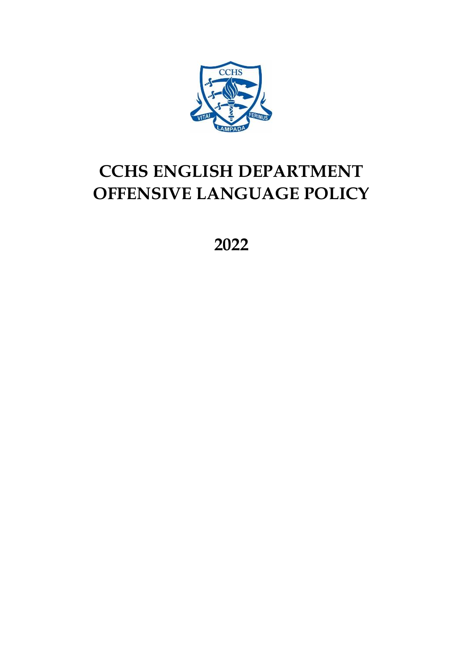

## **CCHS ENGLISH DEPARTMENT OFFENSIVE LANGUAGE POLICY**

**2022**